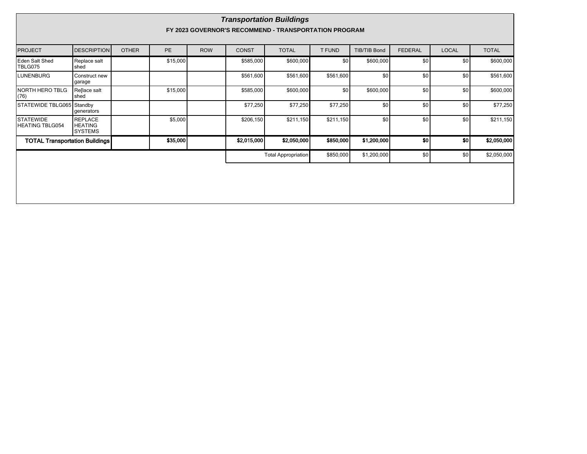| <b>Transportation Buildings</b><br>FY 2023 GOVERNOR'S RECOMMEND - TRANSPORTATION PROGRAM |                                                    |              |           |            |              |                            |                  |                     |                |                  |              |
|------------------------------------------------------------------------------------------|----------------------------------------------------|--------------|-----------|------------|--------------|----------------------------|------------------|---------------------|----------------|------------------|--------------|
|                                                                                          |                                                    |              |           |            |              |                            |                  |                     |                |                  |              |
| <b>PROJECT</b>                                                                           | <b>DESCRIPTION</b>                                 | <b>OTHER</b> | <b>PE</b> | <b>ROW</b> | <b>CONST</b> | <b>TOTAL</b>               | T FUND           | <b>TIB/TIB Bond</b> | <b>FEDERAL</b> | <b>LOCAL</b>     | <b>TOTAL</b> |
| Eden Salt Shed<br><b>TBLG075</b>                                                         | Replace salt<br>shed                               |              | \$15,000  |            | \$585,000    | \$600,000                  | \$0 <sub>l</sub> | \$600,000           | \$0            | \$0 <sub>1</sub> | \$600,000    |
| <b>LUNENBURG</b>                                                                         | Construct new<br>garage                            |              |           |            | \$561,600    | \$561,600                  | \$561,600        | \$0                 | \$0            | \$0              | \$561,600    |
| NORTH HERO TBLG<br>(76)                                                                  | Re[lace salt<br>shed                               |              | \$15,000  |            | \$585,000    | \$600,000                  | \$0              | \$600,000           | \$0            | \$0              | \$600,000    |
| STATEWIDE TBLG065 Standby                                                                | generators                                         |              |           |            | \$77,250     | \$77,250                   | \$77,250         | \$0                 | \$0            | \$0              | \$77,250     |
| <b>STATEWIDE</b><br><b>HEATING TBLG054</b>                                               | <b>REPLACE</b><br><b>HEATING</b><br><b>SYSTEMS</b> |              | \$5,000   |            | \$206,150    | \$211,150                  | \$211,150        | \$0                 | \$0            | \$0              | \$211,150    |
| <b>TOTAL Transportation Buildings</b>                                                    |                                                    |              | \$35,000  |            | \$2,015,000  | \$2,050,000                | \$850,000        | \$1,200,000         | <sub>so</sub>  | -sol             | \$2,050,000  |
|                                                                                          |                                                    |              |           |            |              | <b>Total Appropriation</b> | \$850,000        | \$1,200,000         | \$0            | \$0              | \$2,050,000  |
|                                                                                          |                                                    |              |           |            |              |                            |                  |                     |                |                  |              |
|                                                                                          |                                                    |              |           |            |              |                            |                  |                     |                |                  |              |
|                                                                                          |                                                    |              |           |            |              |                            |                  |                     |                |                  |              |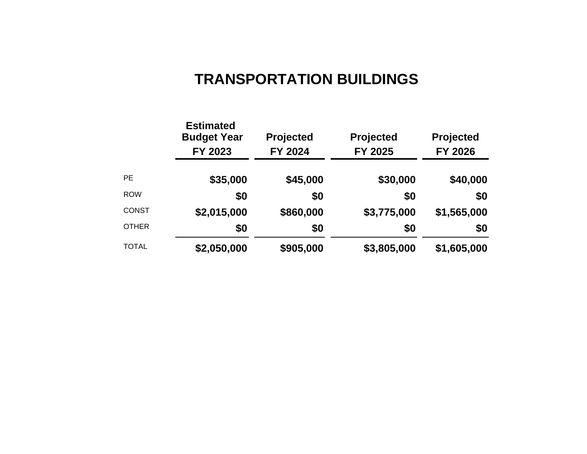# **TRANSPORTATION BUILDINGS**

|              | <b>Estimated</b><br><b>Budget Year</b><br>FY 2023 | <b>Projected</b><br>FY 2024 | Projected<br>FY 2025 | <b>Projected</b><br>FY 2026 |  |
|--------------|---------------------------------------------------|-----------------------------|----------------------|-----------------------------|--|
| <b>PE</b>    | \$35,000                                          | \$45,000                    | \$30,000             | \$40,000                    |  |
| <b>ROW</b>   | \$0                                               | \$0                         | \$0                  | \$0                         |  |
| <b>CONST</b> | \$2,015,000                                       | \$860,000                   | \$3,775,000          | \$1,565,000                 |  |
| <b>OTHER</b> | \$0                                               | \$0                         | \$0                  | \$0                         |  |
| <b>TOTAL</b> | \$2,050,000                                       | \$905,000                   | \$3,805,000          | \$1,605,000                 |  |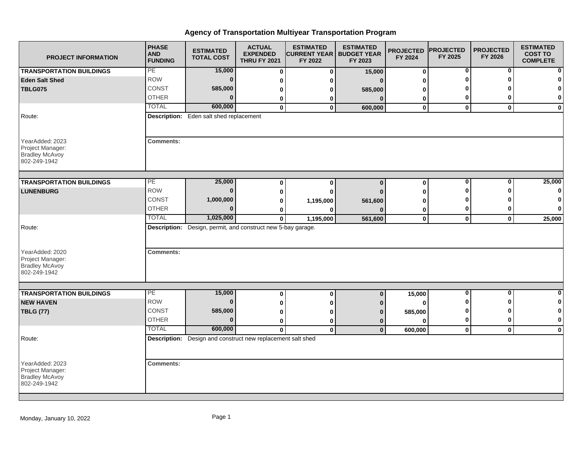## **Agency of Transportation Multiyear Transportation Program**

| <b>PROJECT INFORMATION</b>                                                             | <b>PHASE</b><br><b>AND</b><br><b>FUNDING</b> | <b>ESTIMATED</b><br><b>TOTAL COST</b>                        | <b>ACTUAL</b><br><b>EXPENDED</b><br><b>THRU FY 2021</b> | <b>ESTIMATED</b><br><b>ICURRENT YEAR   BUDGET YEAR</b><br>FY 2022 | <b>ESTIMATED</b><br>FY 2023 | <b>PROJECTED</b><br>FY 2024 | <b>PROJECTED</b><br>FY 2025 | <b>PROJECTED</b><br>FY 2026 | <b>ESTIMATED</b><br><b>COST TO</b><br><b>COMPLETE</b> |
|----------------------------------------------------------------------------------------|----------------------------------------------|--------------------------------------------------------------|---------------------------------------------------------|-------------------------------------------------------------------|-----------------------------|-----------------------------|-----------------------------|-----------------------------|-------------------------------------------------------|
| <b>TRANSPORTATION BUILDINGS</b>                                                        | PE                                           | 15,000                                                       | 0                                                       | 0                                                                 | 15,000                      | $\pmb{0}$                   | $\bf{0}$                    | $\bf{0}$                    |                                                       |
| <b>Eden Salt Shed</b>                                                                  | <b>ROW</b>                                   | $\bf{0}$                                                     | 0                                                       |                                                                   |                             | 0                           | ŋ                           | ŋ                           |                                                       |
| <b>TBLG075</b>                                                                         | CONST                                        | 585,000                                                      | 0                                                       |                                                                   | 585,000                     | 0                           | Λ                           | О                           | 0                                                     |
|                                                                                        | <b>OTHER</b>                                 | $\Omega$                                                     | 0                                                       | 0                                                                 | $\Omega$                    | 0                           | 0                           | 0                           | 0                                                     |
|                                                                                        | <b>TOTAL</b>                                 | 600,000                                                      | 0                                                       | $\mathbf 0$                                                       | 600,000                     | $\mathbf 0$                 | $\mathbf{0}$                | $\mathbf 0$                 | $\mathbf 0$                                           |
| Route:                                                                                 |                                              | <b>Description:</b> Eden salt shed replacement               |                                                         |                                                                   |                             |                             |                             |                             |                                                       |
| YearAdded: 2023<br>Project Manager:<br><b>Bradley McAvoy</b><br>802-249-1942           | <b>Comments:</b>                             |                                                              |                                                         |                                                                   |                             |                             |                             |                             |                                                       |
| <b>TRANSPORTATION BUILDINGS</b>                                                        | PE                                           | 25,000                                                       | 0                                                       | 0                                                                 | $\mathbf{0}$                | 0                           | $\overline{\mathbf{0}}$     | $\overline{0}$              | 25,000                                                |
| <b>LUNENBURG</b>                                                                       | <b>ROW</b>                                   | $\mathbf{0}$                                                 | 0                                                       |                                                                   |                             | 0                           | U                           | ŋ                           | 0                                                     |
|                                                                                        | <b>CONST</b>                                 | 1,000,000                                                    | 0                                                       | 1,195,000                                                         | 561,600                     | 0                           | 0                           |                             | 0                                                     |
|                                                                                        | <b>OTHER</b>                                 | $\Omega$                                                     | 0                                                       |                                                                   |                             | 0                           | 0                           | 0                           | 0                                                     |
|                                                                                        | <b>TOTAL</b>                                 | 1,025,000                                                    | $\mathbf{0}$                                            | 1,195,000                                                         | 561,600                     | $\mathbf 0$                 | $\mathbf{0}$                | $\mathbf 0$                 | 25,000                                                |
| Route:<br>YearAdded: 2020<br>Project Manager:<br><b>Bradley McAvoy</b><br>802-249-1942 | <b>Comments:</b>                             | Description: Design, permit, and construct new 5-bay garage. |                                                         |                                                                   |                             |                             |                             |                             |                                                       |
|                                                                                        |                                              |                                                              |                                                         |                                                                   |                             |                             |                             |                             |                                                       |
| <b>TRANSPORTATION BUILDINGS</b>                                                        | PE                                           | 15,000                                                       | 0                                                       | 0                                                                 | $\mathbf 0$                 | 15,000                      | $\overline{0}$              | $\overline{0}$              | $\bf{0}$                                              |
| <b>NEW HAVEN</b>                                                                       | <b>ROW</b>                                   | $\Omega$                                                     | 0                                                       | ŋ                                                                 |                             | $\bf{0}$                    | Λ                           | ŋ                           | 0                                                     |
| <b>TBLG (77)</b>                                                                       | <b>CONST</b>                                 | 585,000                                                      | 0                                                       | ŋ                                                                 |                             | 585,000                     | 0                           | ŋ                           | 0                                                     |
|                                                                                        | <b>OTHER</b>                                 | $\mathbf{0}$                                                 | 0                                                       | 0                                                                 | $\Omega$                    | $\Omega$                    | 0                           | 0                           | $\bf{0}$                                              |
|                                                                                        | <b>TOTAL</b>                                 | 600,000                                                      | $\mathbf{0}$                                            | $\mathbf 0$                                                       | $\mathbf{0}$                | 600,000                     | $\mathbf 0$                 | $\mathbf{0}$                | $\mathbf 0$                                           |
| Route:                                                                                 |                                              | Description: Design and construct new replacement salt shed  |                                                         |                                                                   |                             |                             |                             |                             |                                                       |
| YearAdded: 2023<br>Project Manager:<br><b>Bradley McAvoy</b><br>802-249-1942           | <b>Comments:</b>                             |                                                              |                                                         |                                                                   |                             |                             |                             |                             |                                                       |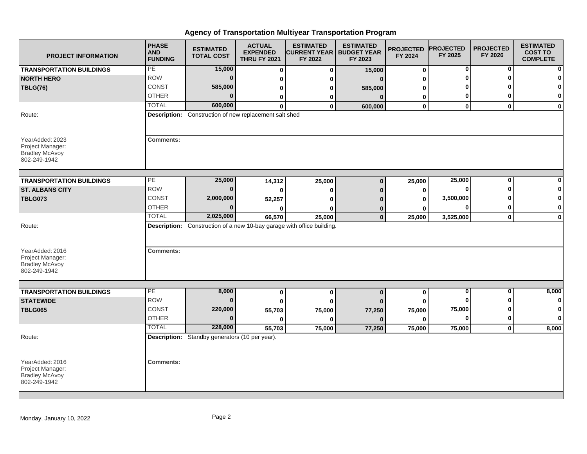## **Agency of Transportation Multiyear Transportation Program**

| <b>PROJECT INFORMATION</b>                                                             | <b>PHASE</b><br><b>AND</b><br><b>FUNDING</b> | <b>ESTIMATED</b><br><b>TOTAL COST</b>                  | <b>ACTUAL</b><br><b>EXPENDED</b><br><b>THRU FY 2021</b> | <b>ESTIMATED</b><br><b>CURRENT YEAR</b><br>FY 2022                            | <b>ESTIMATED</b><br><b>BUDGET YEAR</b><br>FY 2023 | <b>PROJECTED</b><br>FY 2024 | <b>PROJECTED</b><br>FY 2025 | <b>PROJECTED</b><br>FY 2026 | <b>ESTIMATED</b><br><b>COST TO</b><br><b>COMPLETE</b> |
|----------------------------------------------------------------------------------------|----------------------------------------------|--------------------------------------------------------|---------------------------------------------------------|-------------------------------------------------------------------------------|---------------------------------------------------|-----------------------------|-----------------------------|-----------------------------|-------------------------------------------------------|
| <b>TRANSPORTATION BUILDINGS</b>                                                        | PE                                           | 15,000                                                 | 0                                                       | $\bf{0}$                                                                      | 15,000                                            | $\bf{0}$                    | 0                           | 0                           | $\bf{0}$                                              |
| <b>NORTH HERO</b>                                                                      | <b>ROW</b>                                   | $\bf{0}$                                               | 0                                                       | n                                                                             | $\mathbf{r}$                                      | ŋ                           | ŋ                           |                             | $\bf{0}$                                              |
| <b>TBLG(76)</b>                                                                        | CONST                                        | 585,000                                                | 0                                                       | ŋ                                                                             | 585,000                                           | O                           |                             |                             | $\mathbf{0}$                                          |
|                                                                                        | <b>OTHER</b>                                 | $\Omega$                                               | 0                                                       | 0                                                                             | $\Omega$                                          | 0                           | 0                           |                             | $\mathbf{0}$                                          |
|                                                                                        | <b>TOTAL</b>                                 | 600,000                                                | <sup>0</sup>                                            | $\Omega$                                                                      | 600,000                                           | $\mathbf 0$                 | $\mathbf{0}$                | $\mathbf{0}$                | $\mathbf{0}$                                          |
| Route:                                                                                 |                                              | Description: Construction of new replacement salt shed |                                                         |                                                                               |                                                   |                             |                             |                             |                                                       |
| YearAdded: 2023<br>Project Manager:<br><b>Bradley McAvoy</b><br>802-249-1942           | <b>Comments:</b>                             |                                                        |                                                         |                                                                               |                                                   |                             |                             |                             |                                                       |
| <b>TRANSPORTATION BUILDINGS</b>                                                        | PE                                           | 25,000                                                 | 14,312                                                  | 25,000                                                                        | $\bf{0}$                                          | 25,000                      | 25,000                      | 0                           | $\mathbf{0}$                                          |
| <b>ST. ALBANS CITY</b>                                                                 | <b>ROW</b>                                   | $\Omega$                                               | 0                                                       | ŋ                                                                             | n                                                 | 0                           |                             |                             | 0                                                     |
| <b>TBLG073</b>                                                                         | CONST                                        | 2,000,000                                              | 52,257                                                  |                                                                               |                                                   | O                           | 3,500,000                   |                             | 0                                                     |
|                                                                                        | <b>OTHER</b>                                 | $\Omega$                                               | U                                                       |                                                                               | 0                                                 |                             |                             |                             | $\mathbf{0}$                                          |
|                                                                                        | <b>TOTAL</b>                                 | 2,025,000                                              | 66,570                                                  | 25,000                                                                        | $\mathbf{0}$                                      | 25,000                      | 3,525,000                   | $\mathbf 0$                 | $\mathbf{0}$                                          |
| Route:<br>YearAdded: 2016<br>Project Manager:<br><b>Bradley McAvoy</b><br>802-249-1942 | <b>Comments:</b>                             |                                                        |                                                         | <b>Description:</b> Construction of a new 10-bay garage with office building. |                                                   |                             |                             |                             |                                                       |
|                                                                                        |                                              |                                                        |                                                         |                                                                               |                                                   |                             |                             |                             |                                                       |
| <b>TRANSPORTATION BUILDINGS</b>                                                        | PE                                           | 8,000                                                  | 0                                                       | $\mathbf 0$                                                                   | $\Omega$                                          | 0                           | $\bf{0}$                    | $\bf{0}$                    | 8,000                                                 |
| <b>STATEWIDE</b>                                                                       | <b>ROW</b>                                   | $\bf{0}$                                               | ŋ                                                       | ŋ                                                                             |                                                   |                             |                             |                             | $\mathbf{0}$                                          |
| <b>TBLG065</b>                                                                         | <b>CONST</b>                                 | 220,000                                                | 55,703                                                  | 75,000                                                                        | 77,250                                            | 75,000                      | 75,000                      |                             | $\mathbf{0}$                                          |
|                                                                                        | <b>OTHER</b>                                 | $\Omega$                                               | 0                                                       | ŋ                                                                             | $\bf{0}$                                          | $\mathbf{0}$                | $\Omega$                    | ŋ                           | $\mathbf{0}$                                          |
|                                                                                        | <b>TOTAL</b>                                 | 228,000                                                | 55,703                                                  | 75,000                                                                        | 77,250                                            | 75,000                      | 75,000                      | $\mathbf 0$                 | 8,000                                                 |
| Route:                                                                                 |                                              | Description: Standby generators (10 per year).         |                                                         |                                                                               |                                                   |                             |                             |                             |                                                       |
| YearAdded: 2016<br>Project Manager:<br><b>Bradley McAvoy</b><br>802-249-1942           | <b>Comments:</b>                             |                                                        |                                                         |                                                                               |                                                   |                             |                             |                             |                                                       |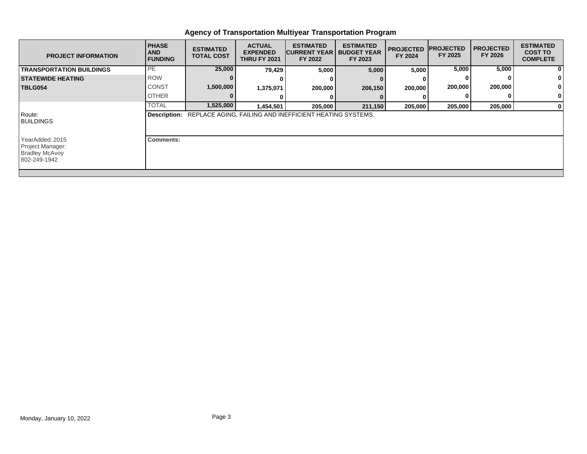## **Agency of Transportation Multiyear Transportation Program**

| <b>PROJECT INFORMATION</b>                                                   | <b>PHASE</b><br><b>AND</b><br><b>FUNDING</b> | <b>ESTIMATED</b><br><b>TOTAL COST</b> | <b>ACTUAL</b><br><b>EXPENDED</b><br><b>THRU FY 2021</b> | <b>ESTIMATED</b><br><b>CURRENT YEAR   BUDGET YEAR</b><br>FY 2022            | <b>ESTIMATED</b><br>FY 2023 | <b>PROJECTED</b><br>FY 2024 | <b>PROJECTED</b><br>FY 2025 | <b>I PROJECTED</b><br>FY 2026 | <b>ESTIMATED</b><br><b>COST TO</b><br><b>COMPLETE</b> |
|------------------------------------------------------------------------------|----------------------------------------------|---------------------------------------|---------------------------------------------------------|-----------------------------------------------------------------------------|-----------------------------|-----------------------------|-----------------------------|-------------------------------|-------------------------------------------------------|
| <b>TRANSPORTATION BUILDINGS</b>                                              | PE                                           | 25,000                                | 79,429                                                  | 5,000                                                                       | 5,000                       | 5,000                       | 5,000                       | 5,000                         | $\mathbf{0}$                                          |
| <b>STATEWIDE HEATING</b>                                                     | <b>ROW</b>                                   |                                       |                                                         |                                                                             |                             |                             |                             |                               | $\mathbf{0}$                                          |
| <b>TBLG054</b>                                                               | <b>CONST</b>                                 | 1,500,000                             | 1,375,071                                               | 200,000                                                                     | 206,150                     | 200,000                     | 200,000                     | 200,000                       | 0                                                     |
|                                                                              | <b>OTHER</b>                                 |                                       |                                                         |                                                                             |                             |                             |                             |                               | $\mathbf{0}$                                          |
|                                                                              | <b>TOTAL</b>                                 | 1,525,000                             | 1,454,501                                               | 205,000                                                                     | 211,150                     | 205,000                     | 205,000                     | 205,000                       | $\mathbf{0}$                                          |
| Route:<br><b>BUILDINGS</b>                                                   |                                              |                                       |                                                         | <b>Description: REPLACE AGING, FAILING AND INEFFICIENT HEATING SYSTEMS.</b> |                             |                             |                             |                               |                                                       |
| YearAdded: 2015<br>Project Manager:<br><b>Bradley McAvoy</b><br>802-249-1942 | <b>Comments:</b>                             |                                       |                                                         |                                                                             |                             |                             |                             |                               |                                                       |
|                                                                              |                                              |                                       |                                                         |                                                                             |                             |                             |                             |                               |                                                       |